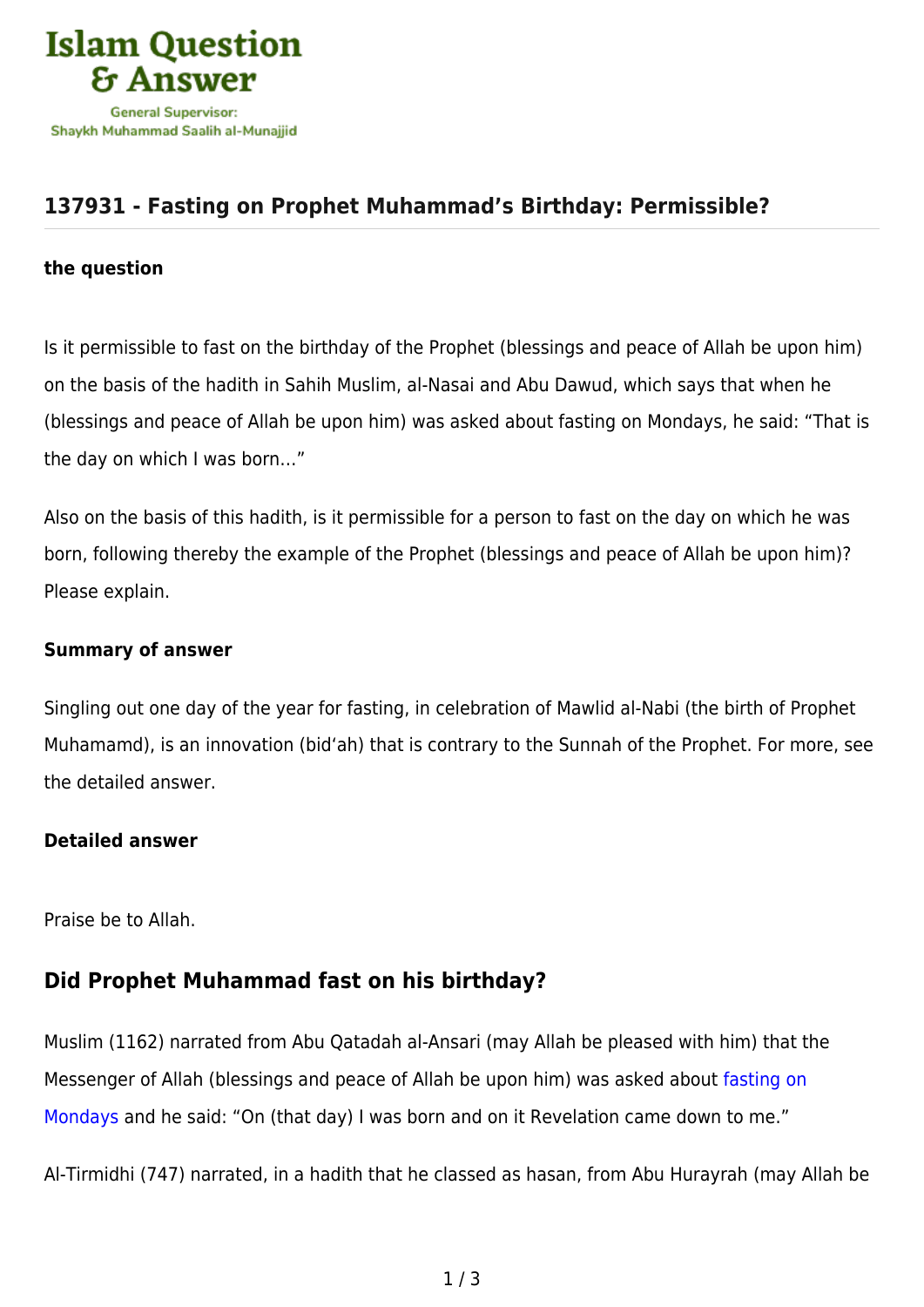

# **[137931 - Fasting on Prophet Muhammad's Birthday: Permissible?](https://islamqa.com/en/answers/137931/fasting-on-prophet-muhammads-birthday-permissible)**

#### **the question**

Is it permissible to fast on the birthday of the Prophet (blessings and peace of Allah be upon him) on the basis of the hadith in Sahih Muslim, al-Nasai and Abu Dawud, which says that when he (blessings and peace of Allah be upon him) was asked about fasting on Mondays, he said: "That is the day on which I was born…"

Also on the basis of this hadith, is it permissible for a person to fast on the day on which he was born, following thereby the example of the Prophet (blessings and peace of Allah be upon him)? Please explain.

#### **Summary of answer**

Singling out one day of the year for fasting, in celebration of Mawlid al-Nabi (the birth of Prophet Muhamamd), is an innovation (bid'ah) that is contrary to the Sunnah of the Prophet. For more, see the detailed answer.

#### **Detailed answer**

Praise be to Allah.

### **Did Prophet Muhammad fast on his birthday?**

Muslim (1162) narrated from Abu Qatadah al-Ansari (may Allah be pleased with him) that the Messenger of Allah (blessings and peace of Allah be upon him) was asked about [fasting on](https://islamqa.com/en/answers/69781) [Mondays](https://islamqa.com/en/answers/69781) and he said: "On (that day) I was born and on it Revelation came down to me."

Al-Tirmidhi (747) narrated, in a hadith that he classed as hasan, from Abu Hurayrah (may Allah be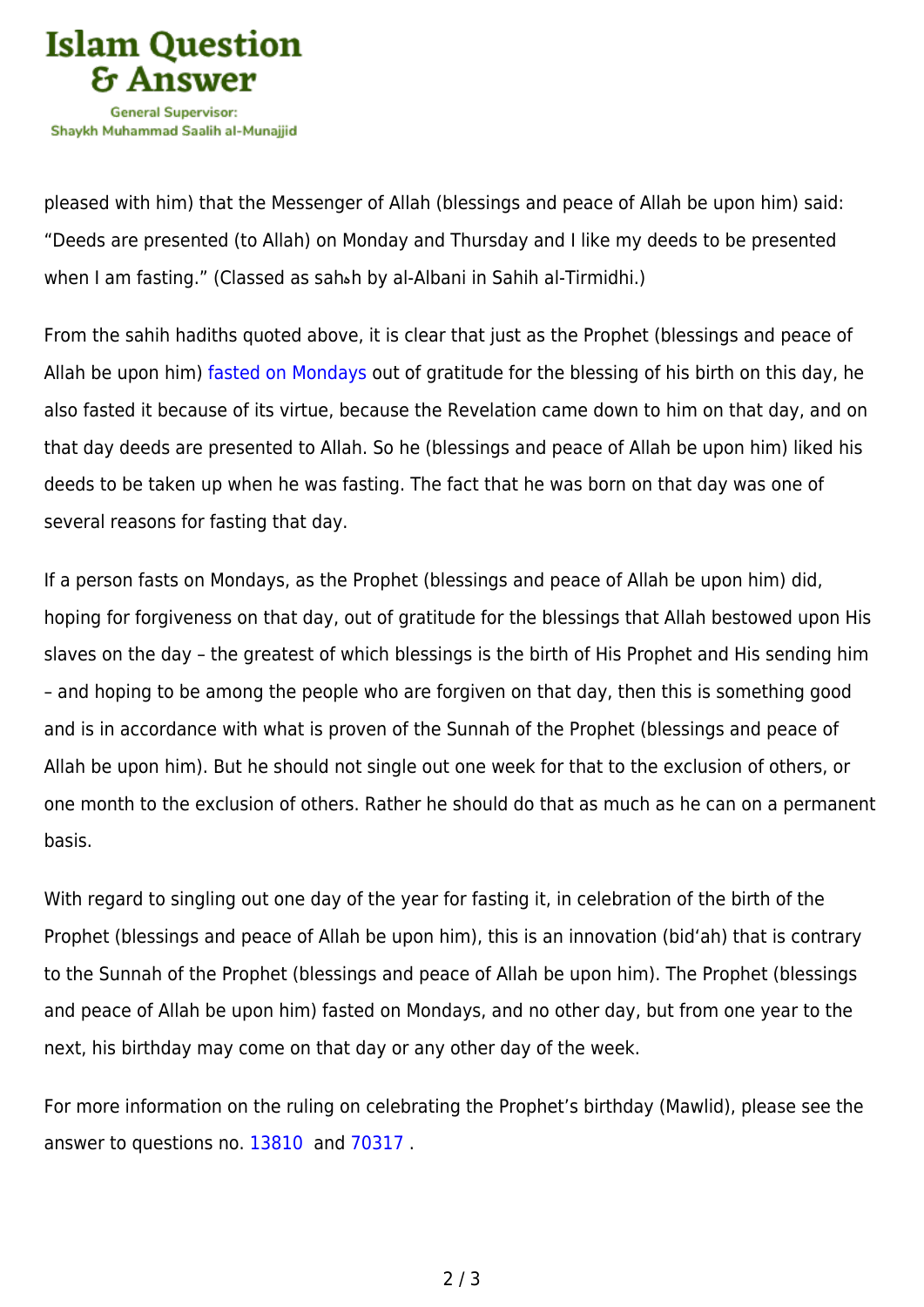

pleased with him) that the Messenger of Allah (blessings and peace of Allah be upon him) said: "Deeds are presented (to Allah) on Monday and Thursday and I like my deeds to be presented when I am fasting." (Classed as sahهh by al-Albani in Sahih al-Tirmidhi.)

From the sahih hadiths quoted above, it is clear that just as the Prophet (blessings and peace of Allah be upon him) [fasted on Mondays](https://islamqa.com/en/answers/109217) out of gratitude for the blessing of his birth on this day, he also fasted it because of its virtue, because the Revelation came down to him on that day, and on that day deeds are presented to Allah. So he (blessings and peace of Allah be upon him) liked his deeds to be taken up when he was fasting. The fact that he was born on that day was one of several reasons for fasting that day.

If a person fasts on Mondays, as the Prophet (blessings and peace of Allah be upon him) did, hoping for forgiveness on that day, out of gratitude for the blessings that Allah bestowed upon His slaves on the day – the greatest of which blessings is the birth of His Prophet and His sending him – and hoping to be among the people who are forgiven on that day, then this is something good and is in accordance with what is proven of the Sunnah of the Prophet (blessings and peace of Allah be upon him). But he should not single out one week for that to the exclusion of others, or one month to the exclusion of others. Rather he should do that as much as he can on a permanent basis.

With regard to singling out one day of the year for fasting it, in celebration of the birth of the Prophet (blessings and peace of Allah be upon him), this is an innovation (bid'ah) that is contrary to the Sunnah of the Prophet (blessings and peace of Allah be upon him). The Prophet (blessings and peace of Allah be upon him) fasted on Mondays, and no other day, but from one year to the next, his birthday may come on that day or any other day of the week.

For more information on the ruling on celebrating the Prophet's birthday (Mawlid), please see the answer to questions no. [13810](https://islamqa.com/en/answers/13810) and [70317](https://islamqa.com/en/answers/70317) .